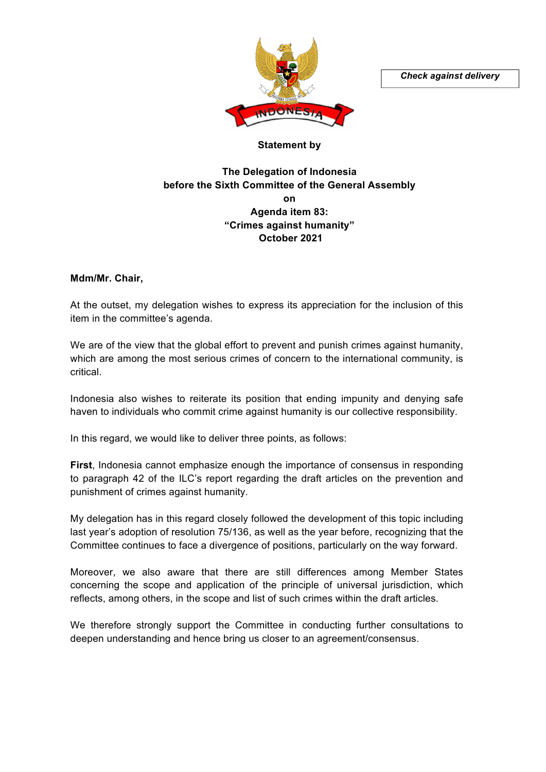*Check against delivery*



## **Statement by**

## **The Delegation of Indonesia before the Sixth Committee of the General Assembly on Agenda item 83: "Crimes against humanity" October 2021**

**Mdm/Mr. Chair,** 

At the outset, my delegation wishes to express its appreciation for the inclusion of this item in the committee's agenda.

We are of the view that the global effort to prevent and punish crimes against humanity, which are among the most serious crimes of concern to the international community, is critical.

Indonesia also wishes to reiterate its position that ending impunity and denying safe haven to individuals who commit crime against humanity is our collective responsibility.

In this regard, we would like to deliver three points, as follows:

**First**, Indonesia cannot emphasize enough the importance of consensus in responding to paragraph 42 of the ILC's report regarding the draft articles on the prevention and punishment of crimes against humanity.

My delegation has in this regard closely followed the development of this topic including last year's adoption of resolution 75/136, as well as the year before, recognizing that the Committee continues to face a divergence of positions, particularly on the way forward.

Moreover, we also aware that there are still differences among Member States concerning the scope and application of the principle of universal jurisdiction, which reflects, among others, in the scope and list of such crimes within the draft articles.

We therefore strongly support the Committee in conducting further consultations to deepen understanding and hence bring us closer to an agreement/consensus.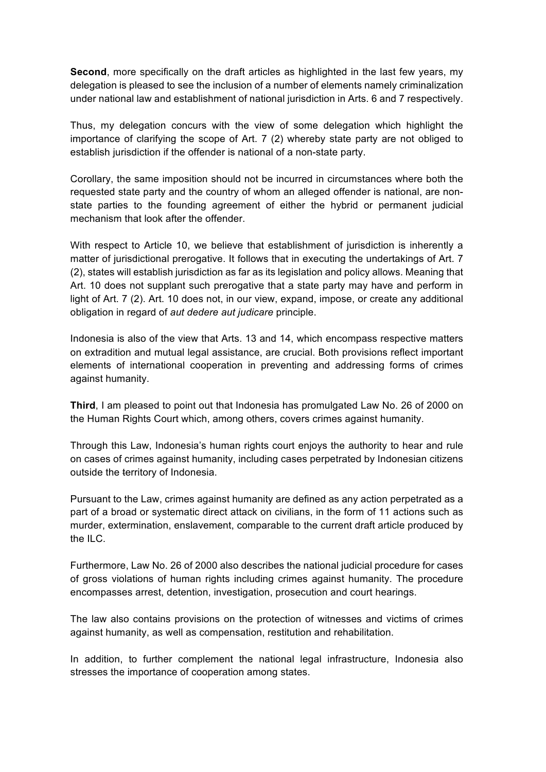**Second**, more specifically on the draft articles as highlighted in the last few years, my delegation is pleased to see the inclusion of a number of elements namely criminalization under national law and establishment of national jurisdiction in Arts. 6 and 7 respectively.

Thus, my delegation concurs with the view of some delegation which highlight the importance of clarifying the scope of Art. 7 (2) whereby state party are not obliged to establish jurisdiction if the offender is national of a non-state party.

Corollary, the same imposition should not be incurred in circumstances where both the requested state party and the country of whom an alleged offender is national, are nonstate parties to the founding agreement of either the hybrid or permanent judicial mechanism that look after the offender.

With respect to Article 10, we believe that establishment of jurisdiction is inherently a matter of jurisdictional prerogative. It follows that in executing the undertakings of Art. 7 (2), states will establish jurisdiction as far as its legislation and policy allows. Meaning that Art. 10 does not supplant such prerogative that a state party may have and perform in light of Art. 7 (2). Art. 10 does not, in our view, expand, impose, or create any additional obligation in regard of *aut dedere aut judicare* principle.

Indonesia is also of the view that Arts. 13 and 14, which encompass respective matters on extradition and mutual legal assistance, are crucial. Both provisions reflect important elements of international cooperation in preventing and addressing forms of crimes against humanity.

**Third**, I am pleased to point out that Indonesia has promulgated Law No. 26 of 2000 on the Human Rights Court which, among others, covers crimes against humanity.

Through this Law, Indonesia's human rights court enjoys the authority to hear and rule on cases of crimes against humanity, including cases perpetrated by Indonesian citizens outside the territory of Indonesia.

Pursuant to the Law, crimes against humanity are defined as any action perpetrated as a part of a broad or systematic direct attack on civilians, in the form of 11 actions such as murder, extermination, enslavement, comparable to the current draft article produced by the ILC.

Furthermore, Law No. 26 of 2000 also describes the national judicial procedure for cases of gross violations of human rights including crimes against humanity. The procedure encompasses arrest, detention, investigation, prosecution and court hearings.

The law also contains provisions on the protection of witnesses and victims of crimes against humanity, as well as compensation, restitution and rehabilitation.

In addition, to further complement the national legal infrastructure, Indonesia also stresses the importance of cooperation among states.